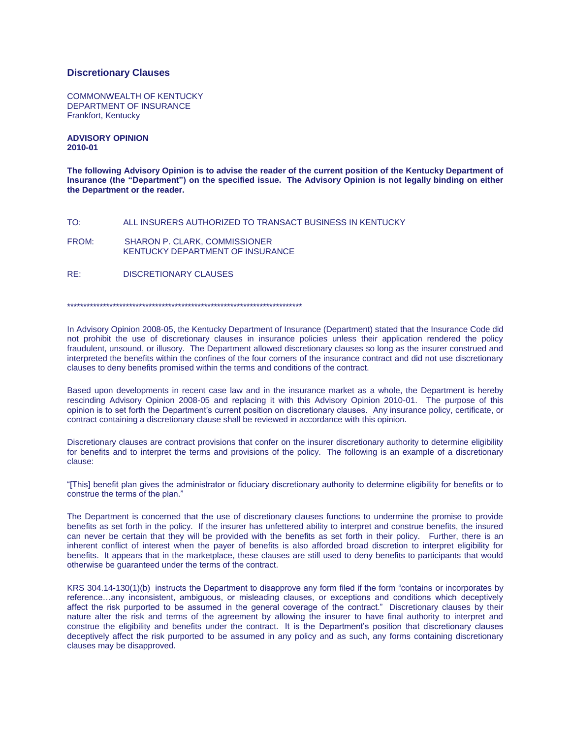## **Discretionary Clauses**

COMMONWEALTH OF KENTUCKY DEPARTMENT OF INSURANCE Frankfort, Kentucky

**ADVISORY OPINION 2010-01**

**The following Advisory Opinion is to advise the reader of the current position of the Kentucky Department of Insurance (the "Department") on the specified issue. The Advisory Opinion is not legally binding on either the Department or the reader.**

TO: ALL INSURERS AUTHORIZED TO TRANSACT BUSINESS IN KENTUCKY

FROM: SHARON P. CLARK, COMMISSIONER KENTUCKY DEPARTMENT OF INSURANCE

RE: DISCRETIONARY CLAUSES

\*\*\*\*\*\*\*\*\*\*\*\*\*\*\*\*\*\*\*\*\*\*\*\*\*\*\*\*\*\*\*\*\*\*\*\*\*\*\*\*\*\*\*\*\*\*\*\*\*\*\*\*\*\*\*\*\*\*\*\*\*\*\*\*\*\*\*\*\*\*\*\*

In Advisory Opinion 2008-05, the Kentucky Department of Insurance (Department) stated that the Insurance Code did not prohibit the use of discretionary clauses in insurance policies unless their application rendered the policy fraudulent, unsound, or illusory. The Department allowed discretionary clauses so long as the insurer construed and interpreted the benefits within the confines of the four corners of the insurance contract and did not use discretionary clauses to deny benefits promised within the terms and conditions of the contract.

Based upon developments in recent case law and in the insurance market as a whole, the Department is hereby rescinding Advisory Opinion 2008-05 and replacing it with this Advisory Opinion 2010-01. The purpose of this opinion is to set forth the Department's current position on discretionary clauses. Any insurance policy, certificate, or contract containing a discretionary clause shall be reviewed in accordance with this opinion.

Discretionary clauses are contract provisions that confer on the insurer discretionary authority to determine eligibility for benefits and to interpret the terms and provisions of the policy. The following is an example of a discretionary clause:

"[This] benefit plan gives the administrator or fiduciary discretionary authority to determine eligibility for benefits or to construe the terms of the plan."

The Department is concerned that the use of discretionary clauses functions to undermine the promise to provide benefits as set forth in the policy. If the insurer has unfettered ability to interpret and construe benefits, the insured can never be certain that they will be provided with the benefits as set forth in their policy. Further, there is an inherent conflict of interest when the payer of benefits is also afforded broad discretion to interpret eligibility for benefits. It appears that in the marketplace, these clauses are still used to deny benefits to participants that would otherwise be guaranteed under the terms of the contract.

KRS 304.14-130(1)(b) instructs the Department to disapprove any form filed if the form "contains or incorporates by reference…any inconsistent, ambiguous, or misleading clauses, or exceptions and conditions which deceptively affect the risk purported to be assumed in the general coverage of the contract." Discretionary clauses by their nature alter the risk and terms of the agreement by allowing the insurer to have final authority to interpret and construe the eligibility and benefits under the contract. It is the Department's position that discretionary clauses deceptively affect the risk purported to be assumed in any policy and as such, any forms containing discretionary clauses may be disapproved.